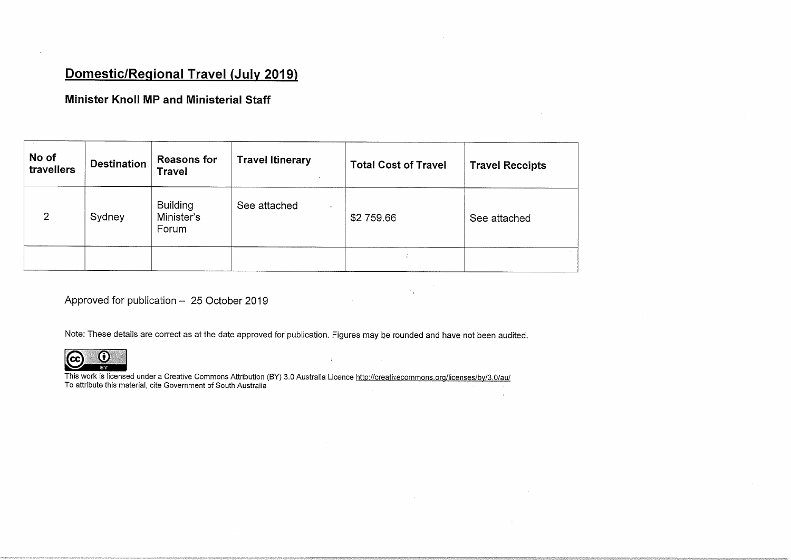#### Domestic/Regional Travel (July 2019)

#### Minister Knoll MP and Ministerial Staff

| No of<br>travellers | <b>Destination</b> | <b>Reasons for</b><br>Travel           | <b>Travel Itinerary</b>              | <b>Total Cost of Travel</b> | <b>Travel Receipts</b> |
|---------------------|--------------------|----------------------------------------|--------------------------------------|-----------------------------|------------------------|
| $\overline{2}$      | Sydney             | <b>Building</b><br>Minister's<br>Forum | See attached<br>$\ddot{\phantom{1}}$ | \$2759.66                   | See attached           |
|                     |                    |                                        |                                      |                             |                        |

Approved for publication - 25 October 2019

Note: These details are correct as at the date approved for publication. Figures may be rounded and have not been audited.



This work is licensed under a Creative Commons Attribution (BY) 3.0 Australia Licence <u>http://creativecommons.org/licenses/by/3.0/au</u><br>To attribute this material, cite Government of South Australia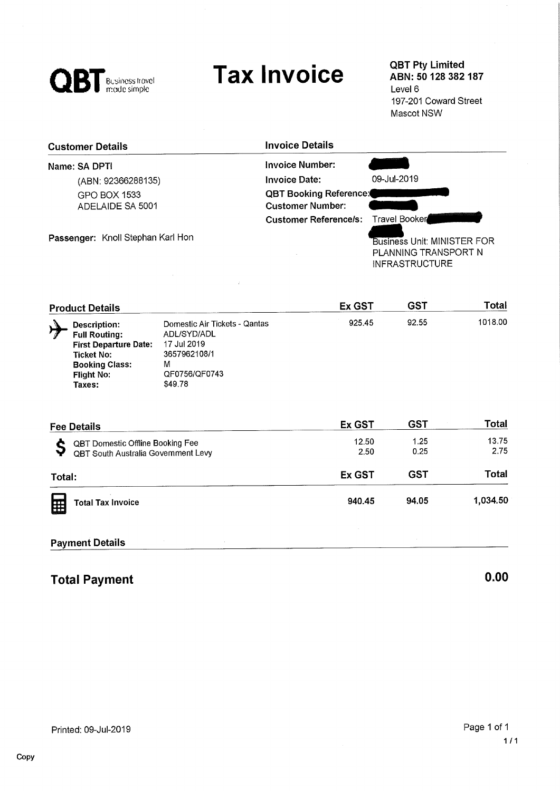

# **Tax Invoice**

QBT Pty Limited<br>ABN: 50 128 382 187 Level 6 197-201 Coward Street Mascot NSW

| <b>Customer Details</b>                                               | <b>Invoice Details</b>                                                                   |                                                                             |
|-----------------------------------------------------------------------|------------------------------------------------------------------------------------------|-----------------------------------------------------------------------------|
| Name: SA DPTI                                                         | Invoice Number:                                                                          |                                                                             |
| (ABN: 92366288135)                                                    | <b>Invoice Date:</b>                                                                     | 09-Jul-2019                                                                 |
| GPO BOX 1533<br>ADELAIDE SA 5001<br>Passenger: Knoll Stephan Karl Hon | <b>QBT Booking Reference:</b><br><b>Customer Number:</b><br><b>Customer Reference/s:</b> | Travel Booker<br><b>Business Unit: MINISTER FOR</b><br>PLANNING TRANSPORT N |
|                                                                       |                                                                                          | <b>INFRASTRUCTURE</b>                                                       |

|   | <b>Product Details</b>                                                                                                                            |                                                                                                              | <b>Ex GST</b> | GST   | Total   |
|---|---------------------------------------------------------------------------------------------------------------------------------------------------|--------------------------------------------------------------------------------------------------------------|---------------|-------|---------|
| ゖ | Description:<br><b>Full Routing:</b><br><b>First Departure Date:</b><br><b>Ticket No:</b><br><b>Booking Class:</b><br><b>Flight No:</b><br>Taxes: | Domestic Air Tickets - Qantas<br>ADL/SYD/ADL<br>17 Jul 2019<br>3657962108/1<br>М<br>QF0756/QF0743<br>\$49.78 | 925.45        | 92.55 | 1018.00 |

| <b>Fee Details</b>                                                                | <b>Ex GST</b> | GST          | Total         |
|-----------------------------------------------------------------------------------|---------------|--------------|---------------|
| ċ<br>QBT Domestic Offline Booking Fee<br>Đ<br>QBT South Australia Government Levy | 12.50<br>2.50 | 1.25<br>0.25 | 13.75<br>2.75 |
| Total:                                                                            | <b>Ex GST</b> | GST          | Total         |
| <b>Total Tax Invoice</b><br>田                                                     | 940.45        | 94.05        | 1,034.50      |

#### Payment Details

## **Total Payment** 0.00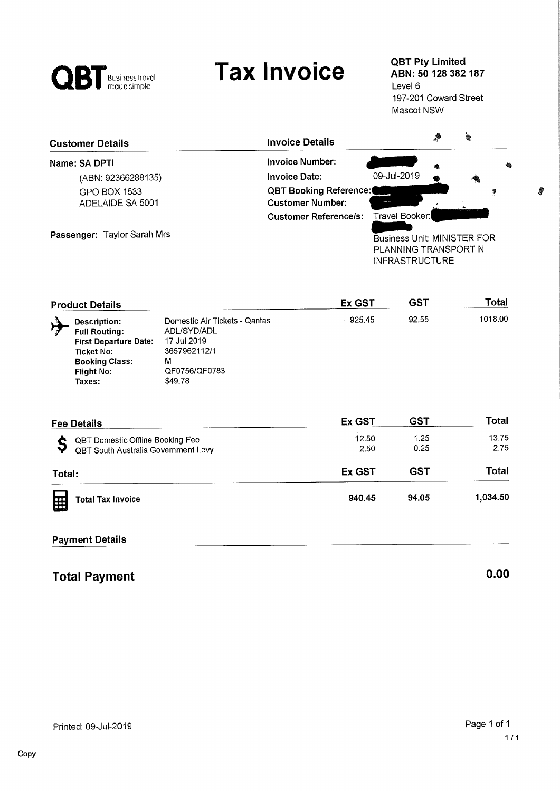| Business travel<br>midde simple. |
|----------------------------------|
|                                  |

# Tax Invoice QBT Pty Limited

ABN: 50 128 382 187 Level 6 197-201 Coward Street Mascot NSW

| <b>Customer Details</b>          | <b>Invoice Details</b>                                   |                                                                                     |   | $\ddot{\bullet}$ |   |
|----------------------------------|----------------------------------------------------------|-------------------------------------------------------------------------------------|---|------------------|---|
| Name: SA DPTI                    | Invoice Number:                                          |                                                                                     | 急 |                  |   |
| (ABN: 92366288135)               | <b>Invoice Date:</b>                                     | 09-Jul-2019                                                                         |   | 确                |   |
| GPO BOX 1533<br>ADELAIDE SA 5001 | <b>QBT Booking Reference:</b><br><b>Customer Number:</b> |                                                                                     |   |                  | 争 |
|                                  | <b>Customer Reference/s:</b>                             | Travel Booker:                                                                      |   |                  |   |
| Passenger: Taylor Sarah Mrs      |                                                          | <b>Business Unit: MINISTER FOR</b><br>PLANNING TRANSPORT N<br><b>INFRASTRUCTURE</b> |   |                  |   |

| <b>Product Details</b>                                                                                                                            |                                                                                                              | Ex GST | GST   | Total   |
|---------------------------------------------------------------------------------------------------------------------------------------------------|--------------------------------------------------------------------------------------------------------------|--------|-------|---------|
| Description:<br><b>Full Routing:</b><br><b>First Departure Date:</b><br><b>Ticket No:</b><br><b>Booking Class:</b><br><b>Flight No:</b><br>Taxes: | Domestic Air Tickets - Qantas<br>ADL/SYD/ADL<br>17 Jul 2019<br>3657962112/1<br>М<br>QF0756/QF0783<br>\$49.78 | 925.45 | 92.55 | 1018.00 |

| <b>Fee Details</b>                                                      | <b>Ex GST</b> | GST          | <b>Total</b>  |
|-------------------------------------------------------------------------|---------------|--------------|---------------|
| QBT Domestic Offline Booking Fee<br>QBT South Australia Government Levy | 12.50<br>2.50 | 1.25<br>0.25 | 13.75<br>2.75 |
| Total:                                                                  | <b>Ex GST</b> | GST          | Total         |
| <b>Total Tax Invoice</b><br>囲                                           | 940.45        | 94.05        | 1,034.50      |

#### Payment Details

# **Total Payment** 0.00

∲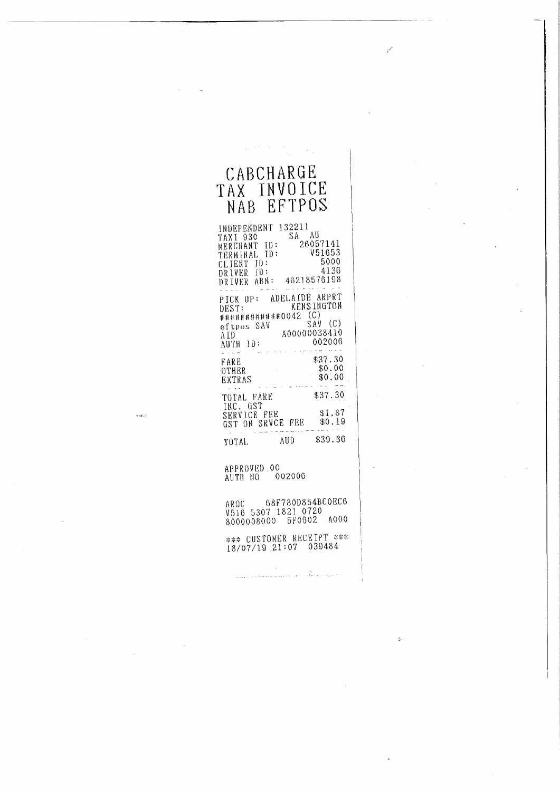# CABCHARGE<br>TAX INVOICE<br>NAB EFTPOS

 $\label{eq:2} \mathcal{L}^{\text{max}}_{\text{max}} \left( \frac{1}{\sqrt{2}} \sum_{i=1}^{N} \frac{1}{\sqrt{2}} \sum_{i=1}^{N} \frac{1}{\sqrt{2}} \sum_{i=1}^{N} \frac{1}{\sqrt{2}} \sum_{i=1}^{N} \frac{1}{\sqrt{2}} \sum_{i=1}^{N} \frac{1}{\sqrt{2}} \sum_{i=1}^{N} \frac{1}{\sqrt{2}} \sum_{i=1}^{N} \frac{1}{\sqrt{2}} \sum_{i=1}^{N} \frac{1}{\sqrt{2}} \sum_{i=1}^{N} \frac{1}{\sqrt{2}} \sum$ 

y.

| INDEPENDENT 132211<br>TAXI 930<br>MERCHANT ID:<br>TERMINAL ID:<br>CLIENT ID:<br>DRIVER ID:<br>DRIVER ABN: | SA AU | 26057141<br>V51653<br>5000<br>4136<br>46218576198      |
|-----------------------------------------------------------------------------------------------------------|-------|--------------------------------------------------------|
| PICK UP: ADELAIDE ARPRT<br>DEST:<br>############0042 (C)<br>eftpos SAV<br>AID<br>AUTH ID:                 |       | <b>KENSINGTON</b><br>SAV (C)<br>A00000038410<br>002006 |
| FARE<br>OTHER<br>EXTRAS                                                                                   |       | \$37.30<br>\$0.00<br>\$0.00                            |
| TOTAL FARE<br>INC. GST<br>SERVICE FEE<br>GST ON SRVCE FEE                                                 |       | \$37.30<br>\$1.87<br>\$0.19                            |
| TOTAL.                                                                                                    | AUD   | \$39.36                                                |

APPROVED 00 AUTH NO 002006

ARQC 68F780D854BC0EC6<br>V516 5307 1821 0720<br>8000008000 5F0602 A000

\*\*\* CUSTOMER RECEIPT \*\*\*<br>18/07/19 21:07 039484

والمتوافق والمحافظ والمتعلق والمهجور فللمعاقب والمتهوري

 $\Delta$ 

 $\sim$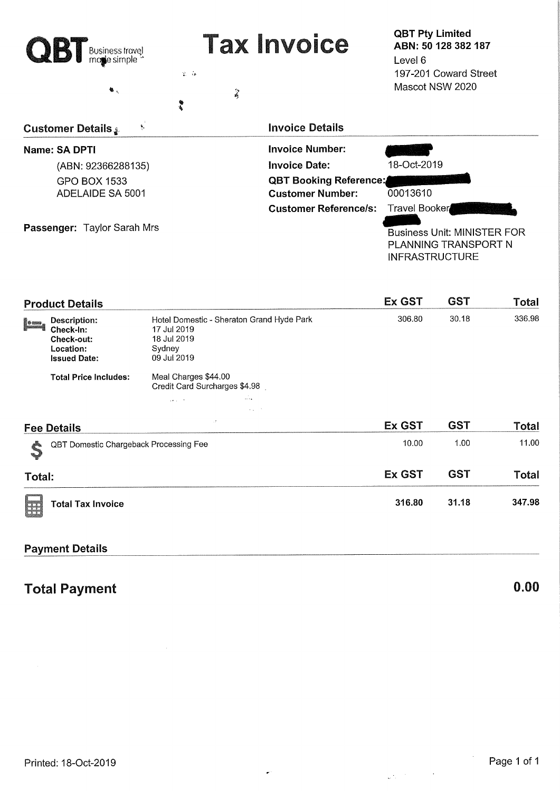| QBT<br>Business travel<br>mo <b>g</b> le simple | <b>Tax Invoice</b>                               | <b>QBT Pty Limited</b><br>ABN: 50 128 382 187<br>Level 6                            |
|-------------------------------------------------|--------------------------------------------------|-------------------------------------------------------------------------------------|
| 48、                                             | $\mathcal{V}=\mathcal{U}$<br>$\frac{1}{2}$<br>多も | 197-201 Coward Street<br>Mascot NSW 2020                                            |
| 惠<br><b>Customer Details</b>                    | <b>Invoice Details</b>                           |                                                                                     |
| Name: SA DPTI                                   | <b>Invoice Number:</b>                           |                                                                                     |
| (ABN: 92366288135)                              | <b>Invoice Date:</b>                             | 18-Oct-2019                                                                         |
| <b>GPO BOX 1533</b>                             | <b>QBT Booking Reference:</b>                    |                                                                                     |
| ADELAIDE SA 5001                                | <b>Customer Number:</b>                          | 00013610                                                                            |
|                                                 | <b>Customer Reference/s:</b>                     | Travel Booker                                                                       |
| <b>Passenger: Taylor Sarah Mrs</b>              |                                                  | <b>Business Unit: MINISTER FOR</b><br>PLANNING TRANSPORT N<br><b>INFRASTRUCTURE</b> |

|          | <b>Product Details</b>                                                      |                                                                                                   | <b>Ex GST</b> | <b>GST</b> | <b>Total</b> |
|----------|-----------------------------------------------------------------------------|---------------------------------------------------------------------------------------------------|---------------|------------|--------------|
| <b>O</b> | Description:<br>Check-In:<br>Check-out:<br>Location:<br><b>Issued Date:</b> | Hotel Domestic - Sheraton Grand Hyde Park<br>17 Jul 2019<br>18 Jul 2019<br>Sydney<br>09 Jul 2019  | 306.80        | 30.18      | 336.98       |
|          | <b>Total Price Includes:</b>                                                | Meal Charges \$44.00<br>Credit Card Surcharges \$4.98                                             |               |            |              |
|          |                                                                             | $\alpha_{\rm eff} \simeq 0.1$<br>$\Delta\neq\Delta$ , $\Delta\neq\Delta$<br>$\alpha_{\rm{max}}=2$ |               |            |              |
|          | <b>Fee Details</b>                                                          | $\mathcal{F}$                                                                                     | Ex GST        | <b>GST</b> | Total        |
| \$       | QBT Domestic Chargeback Processing Fee                                      |                                                                                                   | 10.00         | 1.00       | 11.00        |
| Total:   |                                                                             |                                                                                                   | Ex GST        | <b>GST</b> | Total        |
| BR       | <b>Total Tax Invoice</b>                                                    |                                                                                                   | 316.80        | 31.18      | 347.98       |

### Payment Details

# **Total Payment** 0.00